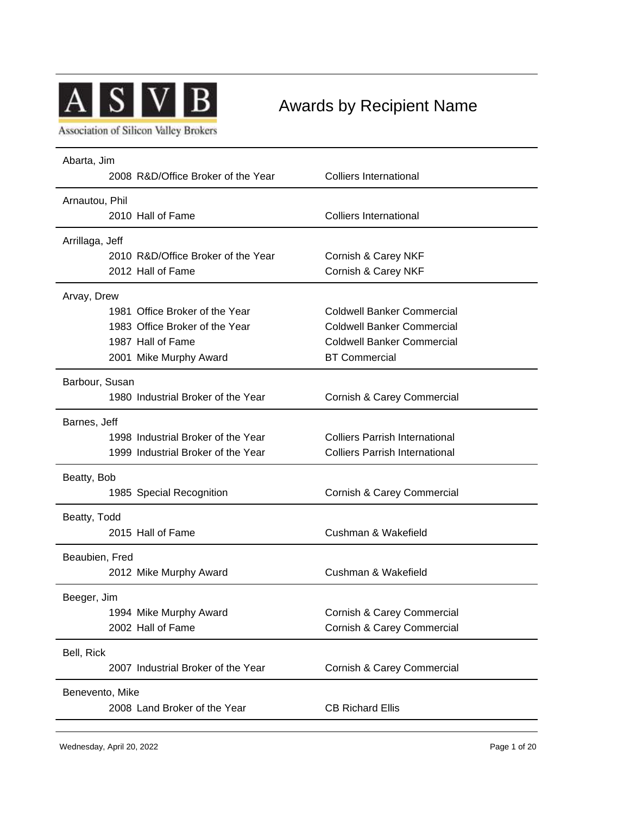

## Awards by Recipient Name

**Association of Silicon Valley Brokers** 

| Abarta, Jim<br>2008 R&D/Office Broker of the Year | <b>Colliers International</b>         |  |
|---------------------------------------------------|---------------------------------------|--|
|                                                   |                                       |  |
| Arnautou, Phil                                    |                                       |  |
| 2010 Hall of Fame                                 | <b>Colliers International</b>         |  |
| Arrillaga, Jeff                                   |                                       |  |
| 2010 R&D/Office Broker of the Year                | Cornish & Carey NKF                   |  |
| 2012 Hall of Fame                                 | Cornish & Carey NKF                   |  |
| Arvay, Drew                                       |                                       |  |
| 1981 Office Broker of the Year                    | <b>Coldwell Banker Commercial</b>     |  |
| 1983 Office Broker of the Year                    | <b>Coldwell Banker Commercial</b>     |  |
| 1987 Hall of Fame                                 | <b>Coldwell Banker Commercial</b>     |  |
| 2001 Mike Murphy Award                            | <b>BT Commercial</b>                  |  |
| Barbour, Susan                                    |                                       |  |
| 1980 Industrial Broker of the Year                | Cornish & Carey Commercial            |  |
| Barnes, Jeff                                      |                                       |  |
| 1998 Industrial Broker of the Year                | <b>Colliers Parrish International</b> |  |
| 1999 Industrial Broker of the Year                | <b>Colliers Parrish International</b> |  |
| Beatty, Bob                                       |                                       |  |
| 1985 Special Recognition                          | Cornish & Carey Commercial            |  |
| Beatty, Todd                                      |                                       |  |
| 2015 Hall of Fame                                 | Cushman & Wakefield                   |  |
| Beaubien, Fred                                    |                                       |  |
| 2012 Mike Murphy Award                            | Cushman & Wakefield                   |  |
| Beeger, Jim                                       |                                       |  |
| 1994 Mike Murphy Award                            | Cornish & Carey Commercial            |  |
| 2002 Hall of Fame                                 | Cornish & Carey Commercial            |  |
| Bell, Rick                                        |                                       |  |
| 2007 Industrial Broker of the Year                | Cornish & Carey Commercial            |  |
| Benevento, Mike                                   |                                       |  |
| 2008 Land Broker of the Year                      | <b>CB Richard Ellis</b>               |  |
|                                                   |                                       |  |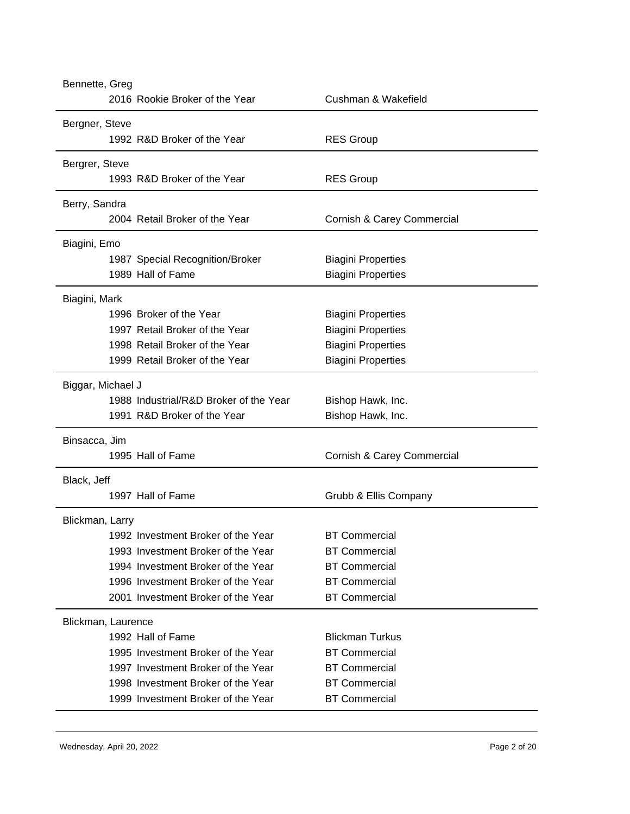| Bennette, Greg     |                                        |                            |
|--------------------|----------------------------------------|----------------------------|
|                    | 2016 Rookie Broker of the Year         | Cushman & Wakefield        |
| Bergner, Steve     |                                        |                            |
|                    | 1992 R&D Broker of the Year            | <b>RES Group</b>           |
| Bergrer, Steve     |                                        |                            |
|                    | 1993 R&D Broker of the Year            | <b>RES Group</b>           |
| Berry, Sandra      |                                        |                            |
|                    | 2004 Retail Broker of the Year         | Cornish & Carey Commercial |
| Biagini, Emo       |                                        |                            |
|                    | 1987 Special Recognition/Broker        | <b>Biagini Properties</b>  |
|                    | 1989 Hall of Fame                      | <b>Biagini Properties</b>  |
| Biagini, Mark      |                                        |                            |
|                    | 1996 Broker of the Year                | <b>Biagini Properties</b>  |
|                    | 1997 Retail Broker of the Year         | <b>Biagini Properties</b>  |
|                    | 1998 Retail Broker of the Year         | <b>Biagini Properties</b>  |
|                    | 1999 Retail Broker of the Year         | <b>Biagini Properties</b>  |
| Biggar, Michael J  |                                        |                            |
|                    | 1988 Industrial/R&D Broker of the Year | Bishop Hawk, Inc.          |
|                    | 1991 R&D Broker of the Year            | Bishop Hawk, Inc.          |
| Binsacca, Jim      |                                        |                            |
|                    | 1995 Hall of Fame                      | Cornish & Carey Commercial |
| Black, Jeff        |                                        |                            |
|                    | 1997 Hall of Fame                      | Grubb & Ellis Company      |
| Blickman, Larry    |                                        |                            |
|                    | 1992 Investment Broker of the Year     | <b>BT Commercial</b>       |
|                    | 1993 Investment Broker of the Year     | <b>BT Commercial</b>       |
|                    | 1994 Investment Broker of the Year     | <b>BT Commercial</b>       |
|                    | 1996 Investment Broker of the Year     | <b>BT Commercial</b>       |
|                    | 2001 Investment Broker of the Year     | <b>BT Commercial</b>       |
| Blickman, Laurence |                                        |                            |
|                    | 1992 Hall of Fame                      | <b>Blickman Turkus</b>     |
|                    | 1995 Investment Broker of the Year     | <b>BT Commercial</b>       |
|                    | 1997 Investment Broker of the Year     | <b>BT Commercial</b>       |
|                    | 1998 Investment Broker of the Year     | <b>BT Commercial</b>       |
|                    | 1999 Investment Broker of the Year     | <b>BT Commercial</b>       |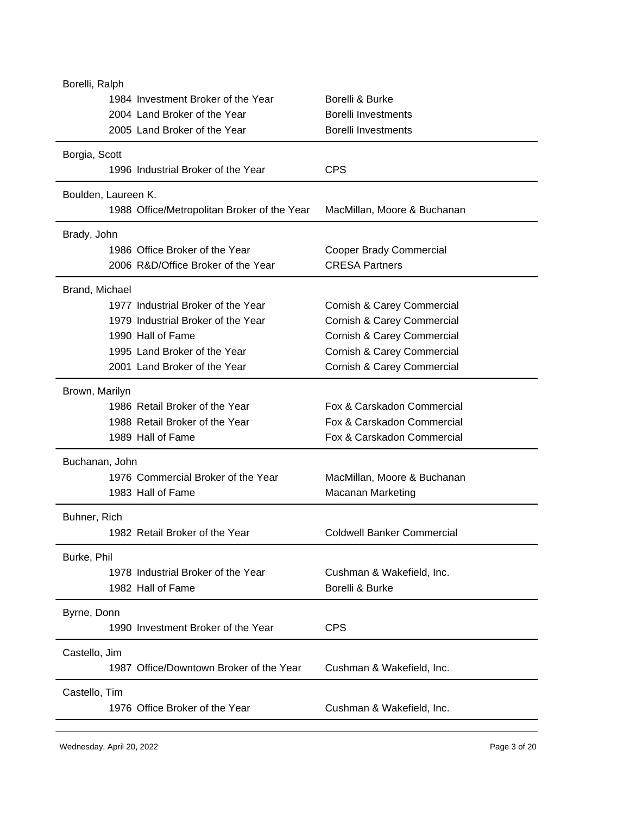| Borelli, Ralph                              |                                   |  |  |
|---------------------------------------------|-----------------------------------|--|--|
| 1984 Investment Broker of the Year          | Borelli & Burke                   |  |  |
| 2004 Land Broker of the Year                | <b>Borelli Investments</b>        |  |  |
| 2005 Land Broker of the Year                | <b>Borelli Investments</b>        |  |  |
| Borgia, Scott                               |                                   |  |  |
| 1996 Industrial Broker of the Year          | <b>CPS</b>                        |  |  |
| Boulden, Laureen K.                         |                                   |  |  |
| 1988 Office/Metropolitan Broker of the Year | MacMillan, Moore & Buchanan       |  |  |
| Brady, John                                 |                                   |  |  |
| 1986 Office Broker of the Year              | <b>Cooper Brady Commercial</b>    |  |  |
| 2006 R&D/Office Broker of the Year          | <b>CRESA Partners</b>             |  |  |
| Brand, Michael                              |                                   |  |  |
| 1977 Industrial Broker of the Year          | Cornish & Carey Commercial        |  |  |
| 1979 Industrial Broker of the Year          | Cornish & Carey Commercial        |  |  |
| 1990 Hall of Fame                           | Cornish & Carey Commercial        |  |  |
| 1995 Land Broker of the Year                | Cornish & Carey Commercial        |  |  |
| 2001 Land Broker of the Year                | Cornish & Carey Commercial        |  |  |
| Brown, Marilyn                              |                                   |  |  |
| 1986 Retail Broker of the Year              | Fox & Carskadon Commercial        |  |  |
| 1988 Retail Broker of the Year              | Fox & Carskadon Commercial        |  |  |
| 1989 Hall of Fame                           | Fox & Carskadon Commercial        |  |  |
| Buchanan, John                              |                                   |  |  |
| 1976 Commercial Broker of the Year          | MacMillan, Moore & Buchanan       |  |  |
| 1983 Hall of Fame                           | <b>Macanan Marketing</b>          |  |  |
| Buhner, Rich                                |                                   |  |  |
| 1982 Retail Broker of the Year              | <b>Coldwell Banker Commercial</b> |  |  |
| Burke, Phil                                 |                                   |  |  |
| 1978 Industrial Broker of the Year          | Cushman & Wakefield, Inc.         |  |  |
| 1982 Hall of Fame                           | Borelli & Burke                   |  |  |
| Byrne, Donn                                 |                                   |  |  |
| 1990 Investment Broker of the Year          | <b>CPS</b>                        |  |  |
|                                             |                                   |  |  |
| Castello, Jim                               |                                   |  |  |
| 1987 Office/Downtown Broker of the Year     | Cushman & Wakefield, Inc.         |  |  |
| Castello, Tim                               |                                   |  |  |
| 1976 Office Broker of the Year              | Cushman & Wakefield, Inc.         |  |  |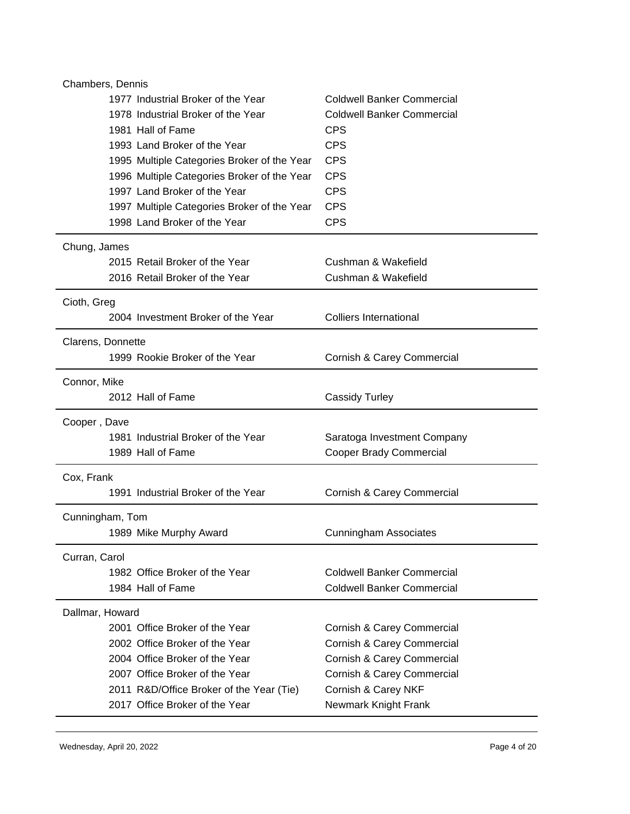| 1977 Industrial Broker of the Year<br><b>Coldwell Banker Commercial</b><br>1978 Industrial Broker of the Year<br><b>Coldwell Banker Commercial</b><br><b>CPS</b><br>1981 Hall of Fame<br><b>CPS</b><br>1993 Land Broker of the Year<br><b>CPS</b><br>1995 Multiple Categories Broker of the Year<br><b>CPS</b><br>1996 Multiple Categories Broker of the Year<br>1997 Land Broker of the Year<br><b>CPS</b><br><b>CPS</b><br>1997 Multiple Categories Broker of the Year<br>1998 Land Broker of the Year<br><b>CPS</b><br>Chung, James<br>2015 Retail Broker of the Year<br>Cushman & Wakefield<br>2016 Retail Broker of the Year<br>Cushman & Wakefield<br>Cioth, Greg<br>2004 Investment Broker of the Year<br><b>Colliers International</b><br>Clarens, Donnette<br>1999 Rookie Broker of the Year<br>Cornish & Carey Commercial<br>Connor, Mike<br>2012 Hall of Fame<br><b>Cassidy Turley</b><br>Cooper, Dave<br>1981 Industrial Broker of the Year<br>Saratoga Investment Company<br>1989 Hall of Fame<br>Cooper Brady Commercial<br>Cox, Frank<br>1991 Industrial Broker of the Year<br>Cornish & Carey Commercial<br>Cunningham, Tom<br>1989 Mike Murphy Award<br><b>Cunningham Associates</b><br>Curran, Carol<br>1982 Office Broker of the Year<br><b>Coldwell Banker Commercial</b><br>1984 Hall of Fame<br><b>Coldwell Banker Commercial</b><br>Dallmar, Howard<br>2001 Office Broker of the Year<br>Cornish & Carey Commercial<br>2002 Office Broker of the Year<br>Cornish & Carey Commercial<br>2004 Office Broker of the Year<br>Cornish & Carey Commercial<br>2007 Office Broker of the Year<br>Cornish & Carey Commercial<br>2011 R&D/Office Broker of the Year (Tie)<br>Cornish & Carey NKF | Chambers, Dennis               |                      |  |
|---------------------------------------------------------------------------------------------------------------------------------------------------------------------------------------------------------------------------------------------------------------------------------------------------------------------------------------------------------------------------------------------------------------------------------------------------------------------------------------------------------------------------------------------------------------------------------------------------------------------------------------------------------------------------------------------------------------------------------------------------------------------------------------------------------------------------------------------------------------------------------------------------------------------------------------------------------------------------------------------------------------------------------------------------------------------------------------------------------------------------------------------------------------------------------------------------------------------------------------------------------------------------------------------------------------------------------------------------------------------------------------------------------------------------------------------------------------------------------------------------------------------------------------------------------------------------------------------------------------------------------------------------------------------------------------------------------------|--------------------------------|----------------------|--|
|                                                                                                                                                                                                                                                                                                                                                                                                                                                                                                                                                                                                                                                                                                                                                                                                                                                                                                                                                                                                                                                                                                                                                                                                                                                                                                                                                                                                                                                                                                                                                                                                                                                                                                               |                                |                      |  |
|                                                                                                                                                                                                                                                                                                                                                                                                                                                                                                                                                                                                                                                                                                                                                                                                                                                                                                                                                                                                                                                                                                                                                                                                                                                                                                                                                                                                                                                                                                                                                                                                                                                                                                               |                                |                      |  |
|                                                                                                                                                                                                                                                                                                                                                                                                                                                                                                                                                                                                                                                                                                                                                                                                                                                                                                                                                                                                                                                                                                                                                                                                                                                                                                                                                                                                                                                                                                                                                                                                                                                                                                               |                                |                      |  |
|                                                                                                                                                                                                                                                                                                                                                                                                                                                                                                                                                                                                                                                                                                                                                                                                                                                                                                                                                                                                                                                                                                                                                                                                                                                                                                                                                                                                                                                                                                                                                                                                                                                                                                               |                                |                      |  |
|                                                                                                                                                                                                                                                                                                                                                                                                                                                                                                                                                                                                                                                                                                                                                                                                                                                                                                                                                                                                                                                                                                                                                                                                                                                                                                                                                                                                                                                                                                                                                                                                                                                                                                               |                                |                      |  |
|                                                                                                                                                                                                                                                                                                                                                                                                                                                                                                                                                                                                                                                                                                                                                                                                                                                                                                                                                                                                                                                                                                                                                                                                                                                                                                                                                                                                                                                                                                                                                                                                                                                                                                               |                                |                      |  |
|                                                                                                                                                                                                                                                                                                                                                                                                                                                                                                                                                                                                                                                                                                                                                                                                                                                                                                                                                                                                                                                                                                                                                                                                                                                                                                                                                                                                                                                                                                                                                                                                                                                                                                               |                                |                      |  |
|                                                                                                                                                                                                                                                                                                                                                                                                                                                                                                                                                                                                                                                                                                                                                                                                                                                                                                                                                                                                                                                                                                                                                                                                                                                                                                                                                                                                                                                                                                                                                                                                                                                                                                               |                                |                      |  |
|                                                                                                                                                                                                                                                                                                                                                                                                                                                                                                                                                                                                                                                                                                                                                                                                                                                                                                                                                                                                                                                                                                                                                                                                                                                                                                                                                                                                                                                                                                                                                                                                                                                                                                               |                                |                      |  |
|                                                                                                                                                                                                                                                                                                                                                                                                                                                                                                                                                                                                                                                                                                                                                                                                                                                                                                                                                                                                                                                                                                                                                                                                                                                                                                                                                                                                                                                                                                                                                                                                                                                                                                               |                                |                      |  |
|                                                                                                                                                                                                                                                                                                                                                                                                                                                                                                                                                                                                                                                                                                                                                                                                                                                                                                                                                                                                                                                                                                                                                                                                                                                                                                                                                                                                                                                                                                                                                                                                                                                                                                               |                                |                      |  |
|                                                                                                                                                                                                                                                                                                                                                                                                                                                                                                                                                                                                                                                                                                                                                                                                                                                                                                                                                                                                                                                                                                                                                                                                                                                                                                                                                                                                                                                                                                                                                                                                                                                                                                               |                                |                      |  |
|                                                                                                                                                                                                                                                                                                                                                                                                                                                                                                                                                                                                                                                                                                                                                                                                                                                                                                                                                                                                                                                                                                                                                                                                                                                                                                                                                                                                                                                                                                                                                                                                                                                                                                               |                                |                      |  |
|                                                                                                                                                                                                                                                                                                                                                                                                                                                                                                                                                                                                                                                                                                                                                                                                                                                                                                                                                                                                                                                                                                                                                                                                                                                                                                                                                                                                                                                                                                                                                                                                                                                                                                               |                                |                      |  |
|                                                                                                                                                                                                                                                                                                                                                                                                                                                                                                                                                                                                                                                                                                                                                                                                                                                                                                                                                                                                                                                                                                                                                                                                                                                                                                                                                                                                                                                                                                                                                                                                                                                                                                               |                                |                      |  |
|                                                                                                                                                                                                                                                                                                                                                                                                                                                                                                                                                                                                                                                                                                                                                                                                                                                                                                                                                                                                                                                                                                                                                                                                                                                                                                                                                                                                                                                                                                                                                                                                                                                                                                               |                                |                      |  |
|                                                                                                                                                                                                                                                                                                                                                                                                                                                                                                                                                                                                                                                                                                                                                                                                                                                                                                                                                                                                                                                                                                                                                                                                                                                                                                                                                                                                                                                                                                                                                                                                                                                                                                               |                                |                      |  |
|                                                                                                                                                                                                                                                                                                                                                                                                                                                                                                                                                                                                                                                                                                                                                                                                                                                                                                                                                                                                                                                                                                                                                                                                                                                                                                                                                                                                                                                                                                                                                                                                                                                                                                               |                                |                      |  |
|                                                                                                                                                                                                                                                                                                                                                                                                                                                                                                                                                                                                                                                                                                                                                                                                                                                                                                                                                                                                                                                                                                                                                                                                                                                                                                                                                                                                                                                                                                                                                                                                                                                                                                               |                                |                      |  |
|                                                                                                                                                                                                                                                                                                                                                                                                                                                                                                                                                                                                                                                                                                                                                                                                                                                                                                                                                                                                                                                                                                                                                                                                                                                                                                                                                                                                                                                                                                                                                                                                                                                                                                               |                                |                      |  |
|                                                                                                                                                                                                                                                                                                                                                                                                                                                                                                                                                                                                                                                                                                                                                                                                                                                                                                                                                                                                                                                                                                                                                                                                                                                                                                                                                                                                                                                                                                                                                                                                                                                                                                               |                                |                      |  |
|                                                                                                                                                                                                                                                                                                                                                                                                                                                                                                                                                                                                                                                                                                                                                                                                                                                                                                                                                                                                                                                                                                                                                                                                                                                                                                                                                                                                                                                                                                                                                                                                                                                                                                               |                                |                      |  |
|                                                                                                                                                                                                                                                                                                                                                                                                                                                                                                                                                                                                                                                                                                                                                                                                                                                                                                                                                                                                                                                                                                                                                                                                                                                                                                                                                                                                                                                                                                                                                                                                                                                                                                               |                                |                      |  |
|                                                                                                                                                                                                                                                                                                                                                                                                                                                                                                                                                                                                                                                                                                                                                                                                                                                                                                                                                                                                                                                                                                                                                                                                                                                                                                                                                                                                                                                                                                                                                                                                                                                                                                               |                                |                      |  |
|                                                                                                                                                                                                                                                                                                                                                                                                                                                                                                                                                                                                                                                                                                                                                                                                                                                                                                                                                                                                                                                                                                                                                                                                                                                                                                                                                                                                                                                                                                                                                                                                                                                                                                               |                                |                      |  |
|                                                                                                                                                                                                                                                                                                                                                                                                                                                                                                                                                                                                                                                                                                                                                                                                                                                                                                                                                                                                                                                                                                                                                                                                                                                                                                                                                                                                                                                                                                                                                                                                                                                                                                               |                                |                      |  |
|                                                                                                                                                                                                                                                                                                                                                                                                                                                                                                                                                                                                                                                                                                                                                                                                                                                                                                                                                                                                                                                                                                                                                                                                                                                                                                                                                                                                                                                                                                                                                                                                                                                                                                               |                                |                      |  |
|                                                                                                                                                                                                                                                                                                                                                                                                                                                                                                                                                                                                                                                                                                                                                                                                                                                                                                                                                                                                                                                                                                                                                                                                                                                                                                                                                                                                                                                                                                                                                                                                                                                                                                               |                                |                      |  |
|                                                                                                                                                                                                                                                                                                                                                                                                                                                                                                                                                                                                                                                                                                                                                                                                                                                                                                                                                                                                                                                                                                                                                                                                                                                                                                                                                                                                                                                                                                                                                                                                                                                                                                               |                                |                      |  |
|                                                                                                                                                                                                                                                                                                                                                                                                                                                                                                                                                                                                                                                                                                                                                                                                                                                                                                                                                                                                                                                                                                                                                                                                                                                                                                                                                                                                                                                                                                                                                                                                                                                                                                               |                                |                      |  |
|                                                                                                                                                                                                                                                                                                                                                                                                                                                                                                                                                                                                                                                                                                                                                                                                                                                                                                                                                                                                                                                                                                                                                                                                                                                                                                                                                                                                                                                                                                                                                                                                                                                                                                               |                                |                      |  |
|                                                                                                                                                                                                                                                                                                                                                                                                                                                                                                                                                                                                                                                                                                                                                                                                                                                                                                                                                                                                                                                                                                                                                                                                                                                                                                                                                                                                                                                                                                                                                                                                                                                                                                               |                                |                      |  |
|                                                                                                                                                                                                                                                                                                                                                                                                                                                                                                                                                                                                                                                                                                                                                                                                                                                                                                                                                                                                                                                                                                                                                                                                                                                                                                                                                                                                                                                                                                                                                                                                                                                                                                               |                                |                      |  |
|                                                                                                                                                                                                                                                                                                                                                                                                                                                                                                                                                                                                                                                                                                                                                                                                                                                                                                                                                                                                                                                                                                                                                                                                                                                                                                                                                                                                                                                                                                                                                                                                                                                                                                               |                                |                      |  |
|                                                                                                                                                                                                                                                                                                                                                                                                                                                                                                                                                                                                                                                                                                                                                                                                                                                                                                                                                                                                                                                                                                                                                                                                                                                                                                                                                                                                                                                                                                                                                                                                                                                                                                               |                                |                      |  |
|                                                                                                                                                                                                                                                                                                                                                                                                                                                                                                                                                                                                                                                                                                                                                                                                                                                                                                                                                                                                                                                                                                                                                                                                                                                                                                                                                                                                                                                                                                                                                                                                                                                                                                               | 2017 Office Broker of the Year | Newmark Knight Frank |  |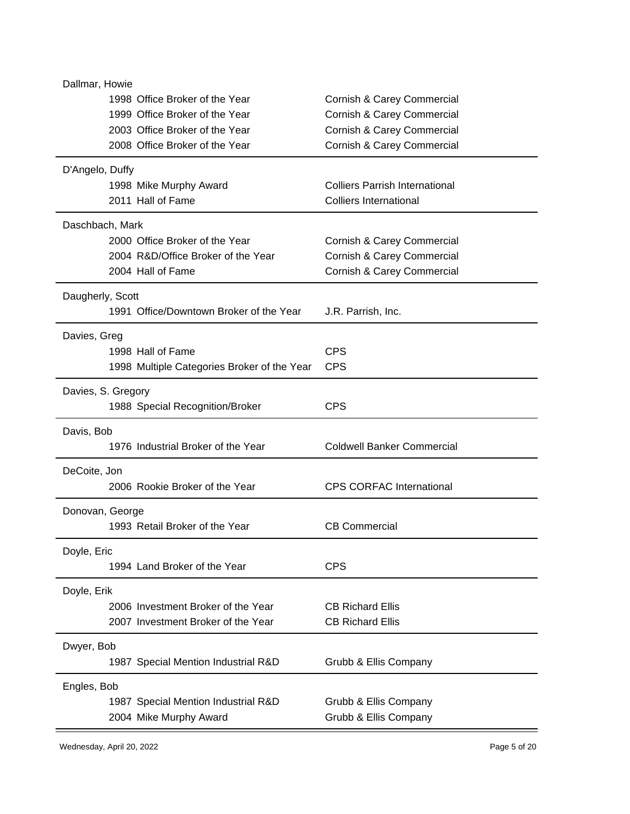| Dallmar, Howie                                    |                                       |  |
|---------------------------------------------------|---------------------------------------|--|
| 1998 Office Broker of the Year                    | Cornish & Carey Commercial            |  |
| 1999 Office Broker of the Year                    | Cornish & Carey Commercial            |  |
| 2003 Office Broker of the Year                    | Cornish & Carey Commercial            |  |
| 2008 Office Broker of the Year                    | Cornish & Carey Commercial            |  |
| D'Angelo, Duffy                                   |                                       |  |
| 1998 Mike Murphy Award                            | <b>Colliers Parrish International</b> |  |
| 2011 Hall of Fame                                 | Colliers International                |  |
| Daschbach, Mark                                   |                                       |  |
| 2000 Office Broker of the Year                    | Cornish & Carey Commercial            |  |
| 2004 R&D/Office Broker of the Year                | Cornish & Carey Commercial            |  |
| 2004 Hall of Fame                                 | Cornish & Carey Commercial            |  |
| Daugherly, Scott                                  |                                       |  |
| 1991 Office/Downtown Broker of the Year           | J.R. Parrish, Inc.                    |  |
| Davies, Greg                                      |                                       |  |
| 1998 Hall of Fame                                 | <b>CPS</b>                            |  |
| 1998 Multiple Categories Broker of the Year       | <b>CPS</b>                            |  |
| Davies, S. Gregory                                |                                       |  |
| 1988 Special Recognition/Broker                   | <b>CPS</b>                            |  |
| Davis, Bob                                        |                                       |  |
| 1976 Industrial Broker of the Year                | <b>Coldwell Banker Commercial</b>     |  |
| DeCoite, Jon                                      |                                       |  |
| 2006 Rookie Broker of the Year                    | <b>CPS CORFAC International</b>       |  |
| Donovan, George                                   |                                       |  |
| 1993 Retail Broker of the Year                    | <b>CB Commercial</b>                  |  |
| Doyle, Eric                                       |                                       |  |
| 1994 Land Broker of the Year                      | <b>CPS</b>                            |  |
| Doyle, Erik                                       |                                       |  |
| 2006 Investment Broker of the Year                | <b>CB Richard Ellis</b>               |  |
| 2007 Investment Broker of the Year                | <b>CB Richard Ellis</b>               |  |
|                                                   |                                       |  |
| Dwyer, Bob<br>1987 Special Mention Industrial R&D | Grubb & Ellis Company                 |  |
|                                                   |                                       |  |
| Engles, Bob                                       |                                       |  |
| 1987 Special Mention Industrial R&D               | Grubb & Ellis Company                 |  |
| 2004 Mike Murphy Award                            | Grubb & Ellis Company                 |  |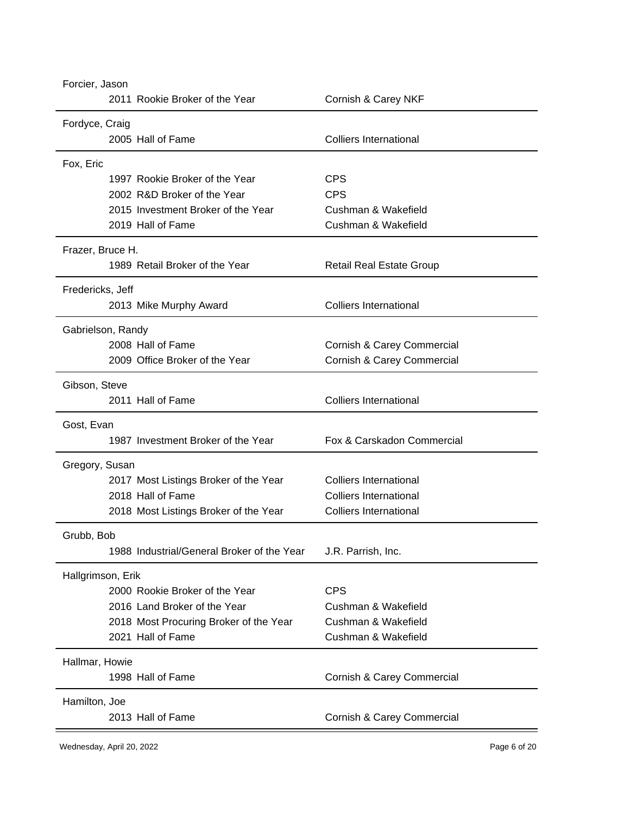| Forcier, Jason<br>2011 Rookie Broker of the Year | Cornish & Carey NKF             |  |
|--------------------------------------------------|---------------------------------|--|
| Fordyce, Craig                                   |                                 |  |
| 2005 Hall of Fame                                | <b>Colliers International</b>   |  |
| Fox, Eric                                        |                                 |  |
| 1997 Rookie Broker of the Year                   | <b>CPS</b>                      |  |
| 2002 R&D Broker of the Year                      | <b>CPS</b>                      |  |
| 2015 Investment Broker of the Year               | Cushman & Wakefield             |  |
| 2019 Hall of Fame                                | Cushman & Wakefield             |  |
| Frazer, Bruce H.                                 |                                 |  |
| 1989 Retail Broker of the Year                   | <b>Retail Real Estate Group</b> |  |
| Fredericks, Jeff                                 |                                 |  |
| 2013 Mike Murphy Award                           | <b>Colliers International</b>   |  |
| Gabrielson, Randy                                |                                 |  |
| 2008 Hall of Fame                                | Cornish & Carey Commercial      |  |
| 2009 Office Broker of the Year                   | Cornish & Carey Commercial      |  |
| Gibson, Steve                                    |                                 |  |
| 2011 Hall of Fame                                | <b>Colliers International</b>   |  |
| Gost, Evan                                       |                                 |  |
| 1987 Investment Broker of the Year               | Fox & Carskadon Commercial      |  |
| Gregory, Susan                                   |                                 |  |
| 2017 Most Listings Broker of the Year            | Colliers International          |  |
| 2018 Hall of Fame                                | <b>Colliers International</b>   |  |
| 2018 Most Listings Broker of the Year            | <b>Colliers International</b>   |  |
| Grubb, Bob                                       |                                 |  |
| 1988 Industrial/General Broker of the Year       | J.R. Parrish, Inc.              |  |
| Hallgrimson, Erik                                |                                 |  |
| 2000 Rookie Broker of the Year                   | <b>CPS</b>                      |  |
| 2016 Land Broker of the Year                     | Cushman & Wakefield             |  |
| 2018 Most Procuring Broker of the Year           | Cushman & Wakefield             |  |
| 2021 Hall of Fame                                | Cushman & Wakefield             |  |
| Hallmar, Howie                                   |                                 |  |
| 1998 Hall of Fame                                | Cornish & Carey Commercial      |  |
| Hamilton, Joe                                    |                                 |  |
| 2013 Hall of Fame                                | Cornish & Carey Commercial      |  |
|                                                  |                                 |  |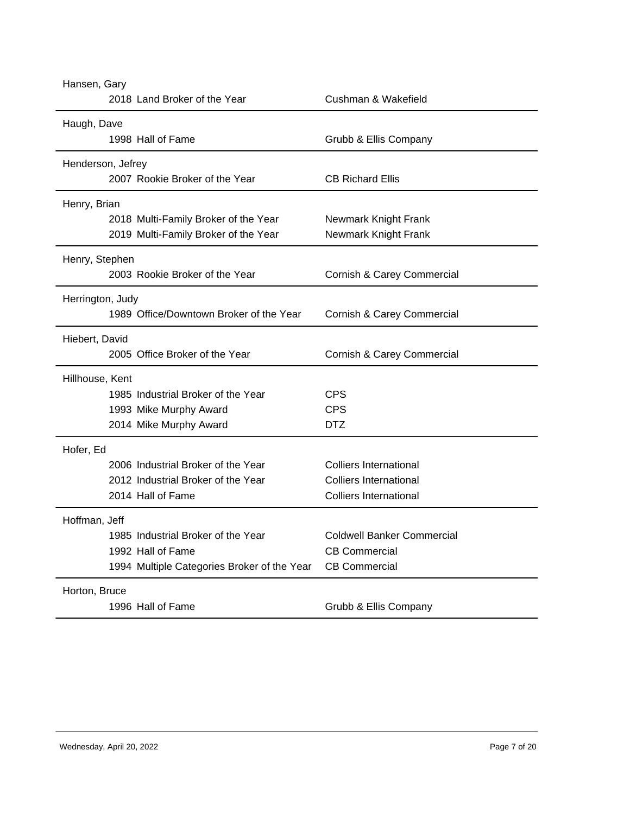| Hansen, Gary                                |                                   |  |  |
|---------------------------------------------|-----------------------------------|--|--|
| 2018 Land Broker of the Year                | Cushman & Wakefield               |  |  |
| Haugh, Dave                                 |                                   |  |  |
| 1998 Hall of Fame                           | Grubb & Ellis Company             |  |  |
| Henderson, Jefrey                           |                                   |  |  |
| 2007 Rookie Broker of the Year              | <b>CB Richard Ellis</b>           |  |  |
| Henry, Brian                                |                                   |  |  |
| 2018 Multi-Family Broker of the Year        | Newmark Knight Frank              |  |  |
| 2019 Multi-Family Broker of the Year        | Newmark Knight Frank              |  |  |
| Henry, Stephen                              |                                   |  |  |
| 2003 Rookie Broker of the Year              | Cornish & Carey Commercial        |  |  |
| Herrington, Judy                            |                                   |  |  |
| 1989 Office/Downtown Broker of the Year     | Cornish & Carey Commercial        |  |  |
| Hiebert, David                              |                                   |  |  |
| 2005 Office Broker of the Year              | Cornish & Carey Commercial        |  |  |
| Hillhouse, Kent                             |                                   |  |  |
| 1985 Industrial Broker of the Year          | <b>CPS</b>                        |  |  |
| 1993 Mike Murphy Award                      | <b>CPS</b>                        |  |  |
| 2014 Mike Murphy Award                      | <b>DTZ</b>                        |  |  |
| Hofer, Ed                                   |                                   |  |  |
| 2006 Industrial Broker of the Year          | <b>Colliers International</b>     |  |  |
| 2012 Industrial Broker of the Year          | <b>Colliers International</b>     |  |  |
| 2014 Hall of Fame                           | <b>Colliers International</b>     |  |  |
| Hoffman, Jeff                               |                                   |  |  |
| 1985 Industrial Broker of the Year          | <b>Coldwell Banker Commercial</b> |  |  |
| 1992 Hall of Fame                           | <b>CB Commercial</b>              |  |  |
| 1994 Multiple Categories Broker of the Year | <b>CB Commercial</b>              |  |  |
| Horton, Bruce                               |                                   |  |  |
| 1996 Hall of Fame                           | Grubb & Ellis Company             |  |  |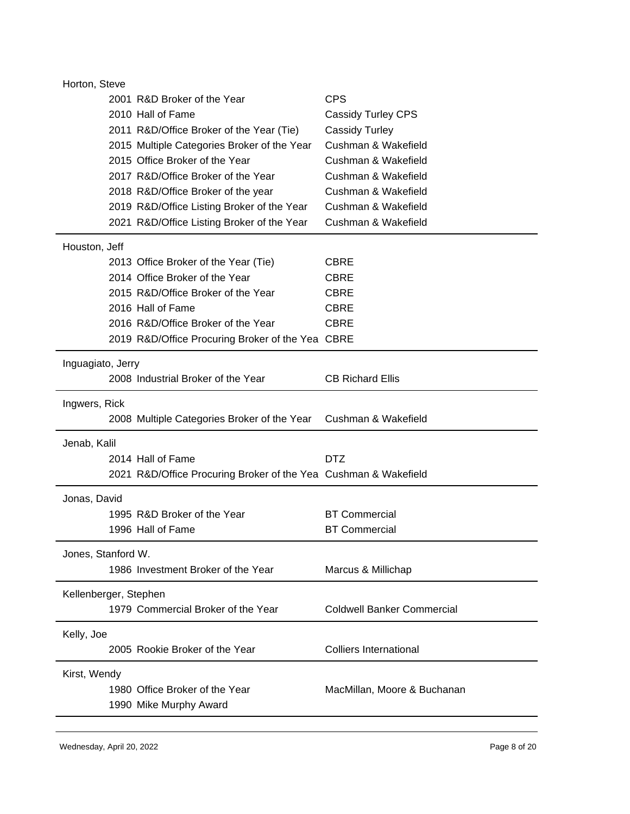| Horton, Steve         |                                                                 |                                   |
|-----------------------|-----------------------------------------------------------------|-----------------------------------|
|                       | 2001 R&D Broker of the Year                                     | <b>CPS</b>                        |
|                       | 2010 Hall of Fame                                               | <b>Cassidy Turley CPS</b>         |
|                       | 2011 R&D/Office Broker of the Year (Tie)                        | <b>Cassidy Turley</b>             |
|                       | 2015 Multiple Categories Broker of the Year                     | Cushman & Wakefield               |
|                       | 2015 Office Broker of the Year                                  | Cushman & Wakefield               |
|                       | 2017 R&D/Office Broker of the Year                              | Cushman & Wakefield               |
|                       | 2018 R&D/Office Broker of the year                              | Cushman & Wakefield               |
|                       | 2019 R&D/Office Listing Broker of the Year                      | Cushman & Wakefield               |
|                       | 2021 R&D/Office Listing Broker of the Year                      | Cushman & Wakefield               |
| Houston, Jeff         |                                                                 |                                   |
|                       | 2013 Office Broker of the Year (Tie)                            | <b>CBRE</b>                       |
|                       | 2014 Office Broker of the Year                                  | <b>CBRE</b>                       |
|                       | 2015 R&D/Office Broker of the Year                              | <b>CBRE</b>                       |
|                       | 2016 Hall of Fame                                               | <b>CBRE</b>                       |
|                       | 2016 R&D/Office Broker of the Year                              | <b>CBRE</b>                       |
|                       | 2019 R&D/Office Procuring Broker of the Yea CBRE                |                                   |
| Inguagiato, Jerry     |                                                                 |                                   |
|                       | 2008 Industrial Broker of the Year                              | <b>CB Richard Ellis</b>           |
| Ingwers, Rick         |                                                                 |                                   |
|                       | 2008 Multiple Categories Broker of the Year                     | Cushman & Wakefield               |
| Jenab, Kalil          |                                                                 |                                   |
|                       | 2014 Hall of Fame                                               | <b>DTZ</b>                        |
|                       | 2021 R&D/Office Procuring Broker of the Yea Cushman & Wakefield |                                   |
| Jonas, David          |                                                                 |                                   |
|                       | 1995 R&D Broker of the Year                                     | <b>BT Commercial</b>              |
|                       | 1996 Hall of Fame                                               | <b>BT Commercial</b>              |
|                       | Jones, Stanford W.                                              |                                   |
|                       | 1986 Investment Broker of the Year                              | Marcus & Millichap                |
| Kellenberger, Stephen |                                                                 |                                   |
|                       | 1979 Commercial Broker of the Year                              | <b>Coldwell Banker Commercial</b> |
| Kelly, Joe            |                                                                 |                                   |
|                       | 2005 Rookie Broker of the Year                                  | <b>Colliers International</b>     |
| Kirst, Wendy          |                                                                 |                                   |
|                       | 1980 Office Broker of the Year                                  | MacMillan, Moore & Buchanan       |
|                       | 1990 Mike Murphy Award                                          |                                   |
|                       |                                                                 |                                   |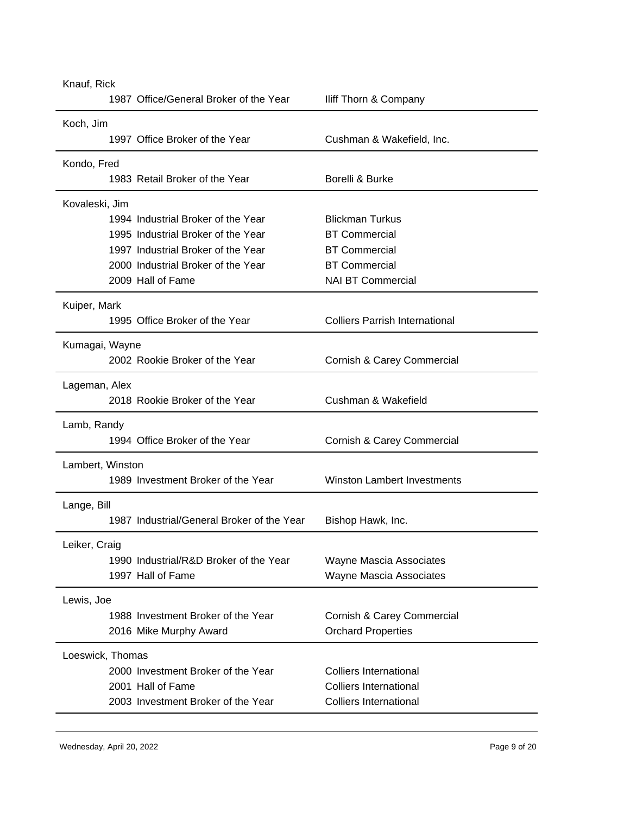| Knauf, Rick      |                                            |                                       |
|------------------|--------------------------------------------|---------------------------------------|
|                  | 1987 Office/General Broker of the Year     | Iliff Thorn & Company                 |
| Koch, Jim        |                                            |                                       |
|                  | 1997 Office Broker of the Year             | Cushman & Wakefield, Inc.             |
| Kondo, Fred      |                                            |                                       |
|                  | 1983 Retail Broker of the Year             | Borelli & Burke                       |
| Kovaleski, Jim   |                                            |                                       |
|                  | 1994 Industrial Broker of the Year         | <b>Blickman Turkus</b>                |
|                  | 1995 Industrial Broker of the Year         | <b>BT Commercial</b>                  |
|                  | 1997 Industrial Broker of the Year         | <b>BT Commercial</b>                  |
|                  | 2000 Industrial Broker of the Year         | <b>BT Commercial</b>                  |
|                  | 2009 Hall of Fame                          | <b>NAI BT Commercial</b>              |
| Kuiper, Mark     |                                            |                                       |
|                  | 1995 Office Broker of the Year             | <b>Colliers Parrish International</b> |
| Kumagai, Wayne   |                                            |                                       |
|                  | 2002 Rookie Broker of the Year             | Cornish & Carey Commercial            |
| Lageman, Alex    |                                            |                                       |
|                  | 2018 Rookie Broker of the Year             | Cushman & Wakefield                   |
| Lamb, Randy      |                                            |                                       |
|                  | 1994 Office Broker of the Year             | Cornish & Carey Commercial            |
| Lambert, Winston |                                            |                                       |
|                  | 1989 Investment Broker of the Year         | <b>Winston Lambert Investments</b>    |
| Lange, Bill      |                                            |                                       |
|                  | 1987 Industrial/General Broker of the Year | Bishop Hawk, Inc.                     |
| Leiker, Craig    |                                            |                                       |
|                  | 1990 Industrial/R&D Broker of the Year     | <b>Wayne Mascia Associates</b>        |
|                  | 1997 Hall of Fame                          | <b>Wayne Mascia Associates</b>        |
| Lewis, Joe       |                                            |                                       |
|                  | 1988 Investment Broker of the Year         | Cornish & Carey Commercial            |
|                  | 2016 Mike Murphy Award                     | <b>Orchard Properties</b>             |
| Loeswick, Thomas |                                            |                                       |
|                  | 2000 Investment Broker of the Year         | <b>Colliers International</b>         |
|                  | 2001 Hall of Fame                          | <b>Colliers International</b>         |
|                  | 2003 Investment Broker of the Year         | <b>Colliers International</b>         |
|                  |                                            |                                       |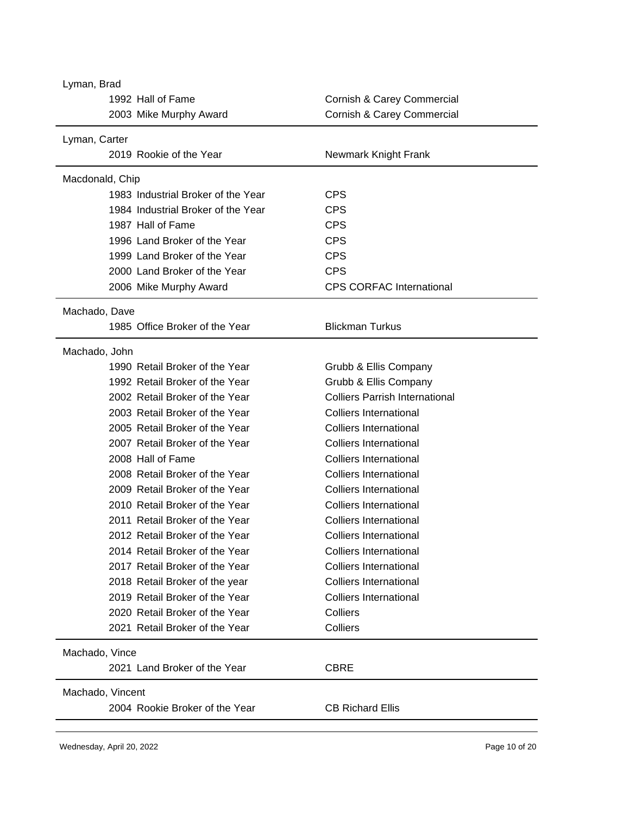| Lyman, Brad                        |                                       |  |  |
|------------------------------------|---------------------------------------|--|--|
| 1992 Hall of Fame                  | Cornish & Carey Commercial            |  |  |
| 2003 Mike Murphy Award             | Cornish & Carey Commercial            |  |  |
| Lyman, Carter                      |                                       |  |  |
| 2019 Rookie of the Year            | Newmark Knight Frank                  |  |  |
| Macdonald, Chip                    |                                       |  |  |
| 1983 Industrial Broker of the Year | <b>CPS</b>                            |  |  |
| 1984 Industrial Broker of the Year | <b>CPS</b>                            |  |  |
| 1987 Hall of Fame                  | <b>CPS</b>                            |  |  |
| 1996 Land Broker of the Year       | <b>CPS</b>                            |  |  |
| 1999 Land Broker of the Year       | <b>CPS</b>                            |  |  |
| 2000 Land Broker of the Year       | <b>CPS</b>                            |  |  |
| 2006 Mike Murphy Award             | <b>CPS CORFAC International</b>       |  |  |
| Machado, Dave                      |                                       |  |  |
| 1985 Office Broker of the Year     | <b>Blickman Turkus</b>                |  |  |
| Machado, John                      |                                       |  |  |
| 1990 Retail Broker of the Year     | Grubb & Ellis Company                 |  |  |
| 1992 Retail Broker of the Year     | Grubb & Ellis Company                 |  |  |
| 2002 Retail Broker of the Year     | <b>Colliers Parrish International</b> |  |  |
| 2003 Retail Broker of the Year     | Colliers International                |  |  |
| 2005 Retail Broker of the Year     | <b>Colliers International</b>         |  |  |
| 2007 Retail Broker of the Year     | <b>Colliers International</b>         |  |  |
| 2008 Hall of Fame                  | <b>Colliers International</b>         |  |  |
| 2008 Retail Broker of the Year     | <b>Colliers International</b>         |  |  |
| 2009 Retail Broker of the Year     | <b>Colliers International</b>         |  |  |
| 2010 Retail Broker of the Year     | <b>Colliers International</b>         |  |  |
| 2011 Retail Broker of the Year     | <b>Colliers International</b>         |  |  |
| 2012 Retail Broker of the Year     | <b>Colliers International</b>         |  |  |
| 2014 Retail Broker of the Year     | <b>Colliers International</b>         |  |  |
| 2017 Retail Broker of the Year     | <b>Colliers International</b>         |  |  |
| 2018 Retail Broker of the year     | <b>Colliers International</b>         |  |  |
| 2019 Retail Broker of the Year     | <b>Colliers International</b>         |  |  |
| 2020 Retail Broker of the Year     | Colliers                              |  |  |
| 2021 Retail Broker of the Year     | Colliers                              |  |  |
| Machado, Vince                     |                                       |  |  |
| 2021 Land Broker of the Year       | <b>CBRE</b>                           |  |  |
| Machado, Vincent                   |                                       |  |  |
| 2004 Rookie Broker of the Year     | <b>CB Richard Ellis</b>               |  |  |
|                                    |                                       |  |  |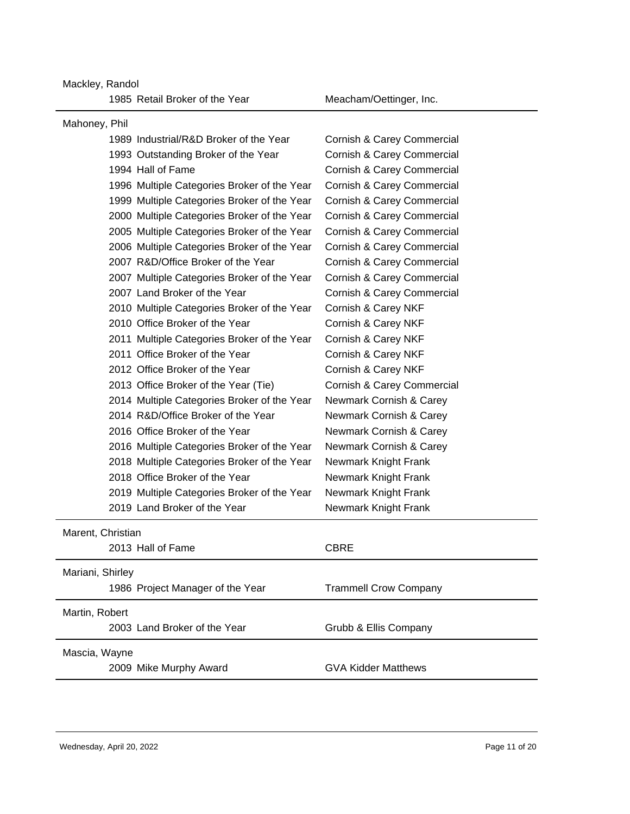Mackley, Randol

1985 Retail Broker of the Year Meacham/Oettinger, Inc.

| Mahoney, Phil                               |                              |  |
|---------------------------------------------|------------------------------|--|
| 1989 Industrial/R&D Broker of the Year      | Cornish & Carey Commercial   |  |
| 1993 Outstanding Broker of the Year         | Cornish & Carey Commercial   |  |
| 1994 Hall of Fame                           | Cornish & Carey Commercial   |  |
| 1996 Multiple Categories Broker of the Year | Cornish & Carey Commercial   |  |
| 1999 Multiple Categories Broker of the Year | Cornish & Carey Commercial   |  |
| 2000 Multiple Categories Broker of the Year | Cornish & Carey Commercial   |  |
| 2005 Multiple Categories Broker of the Year | Cornish & Carey Commercial   |  |
| 2006 Multiple Categories Broker of the Year | Cornish & Carey Commercial   |  |
| 2007 R&D/Office Broker of the Year          | Cornish & Carey Commercial   |  |
| 2007 Multiple Categories Broker of the Year | Cornish & Carey Commercial   |  |
| 2007 Land Broker of the Year                | Cornish & Carey Commercial   |  |
| 2010 Multiple Categories Broker of the Year | Cornish & Carey NKF          |  |
| 2010 Office Broker of the Year              | Cornish & Carey NKF          |  |
| 2011 Multiple Categories Broker of the Year | Cornish & Carey NKF          |  |
| 2011 Office Broker of the Year              | Cornish & Carey NKF          |  |
| 2012 Office Broker of the Year              | Cornish & Carey NKF          |  |
| 2013 Office Broker of the Year (Tie)        | Cornish & Carey Commercial   |  |
| 2014 Multiple Categories Broker of the Year | Newmark Cornish & Carey      |  |
| 2014 R&D/Office Broker of the Year          | Newmark Cornish & Carey      |  |
| 2016 Office Broker of the Year              | Newmark Cornish & Carey      |  |
| 2016 Multiple Categories Broker of the Year | Newmark Cornish & Carey      |  |
| 2018 Multiple Categories Broker of the Year | Newmark Knight Frank         |  |
| 2018 Office Broker of the Year              | Newmark Knight Frank         |  |
| 2019 Multiple Categories Broker of the Year | Newmark Knight Frank         |  |
| 2019 Land Broker of the Year                | Newmark Knight Frank         |  |
| Marent, Christian                           |                              |  |
| 2013 Hall of Fame                           | <b>CBRE</b>                  |  |
| Mariani, Shirley                            |                              |  |
| 1986 Project Manager of the Year            | <b>Trammell Crow Company</b> |  |
| Martin, Robert                              |                              |  |
| 2003 Land Broker of the Year                | Grubb & Ellis Company        |  |
|                                             |                              |  |
| Mascia, Wayne                               |                              |  |
| 2009 Mike Murphy Award                      | <b>GVA Kidder Matthews</b>   |  |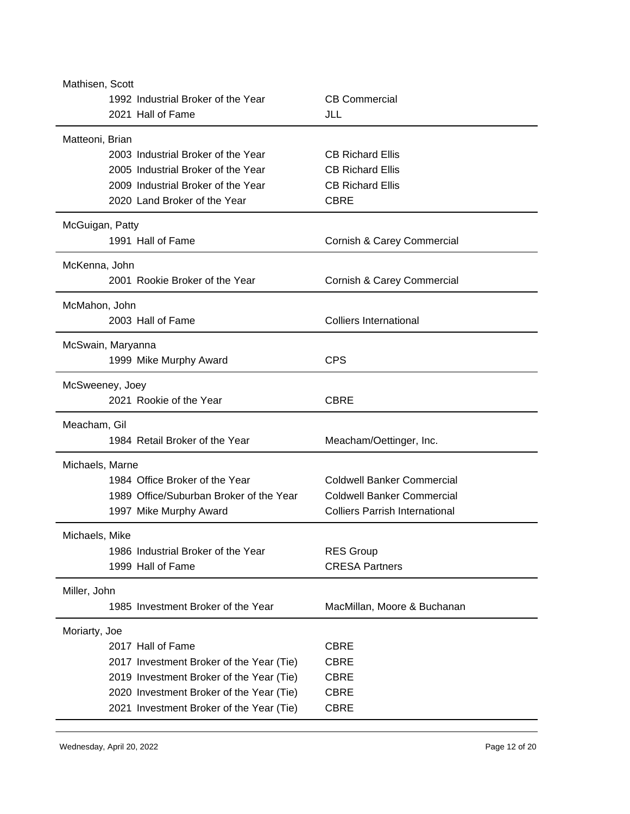| Mathisen, Scott                          |                                       |
|------------------------------------------|---------------------------------------|
| 1992 Industrial Broker of the Year       | <b>CB Commercial</b>                  |
| 2021 Hall of Fame                        | JLL                                   |
|                                          |                                       |
| Matteoni, Brian                          |                                       |
| 2003 Industrial Broker of the Year       | <b>CB Richard Ellis</b>               |
| 2005 Industrial Broker of the Year       | <b>CB Richard Ellis</b>               |
| 2009 Industrial Broker of the Year       | <b>CB Richard Ellis</b>               |
| 2020 Land Broker of the Year             | <b>CBRE</b>                           |
| McGuigan, Patty                          |                                       |
| 1991 Hall of Fame                        | Cornish & Carey Commercial            |
|                                          |                                       |
| McKenna, John                            |                                       |
| 2001 Rookie Broker of the Year           | Cornish & Carey Commercial            |
| McMahon, John                            |                                       |
| 2003 Hall of Fame                        | <b>Colliers International</b>         |
|                                          |                                       |
| McSwain, Maryanna                        |                                       |
| 1999 Mike Murphy Award                   | <b>CPS</b>                            |
| McSweeney, Joey                          |                                       |
| 2021 Rookie of the Year                  | <b>CBRE</b>                           |
|                                          |                                       |
| Meacham, Gil                             |                                       |
| 1984 Retail Broker of the Year           | Meacham/Oettinger, Inc.               |
| Michaels, Marne                          |                                       |
| 1984 Office Broker of the Year           | <b>Coldwell Banker Commercial</b>     |
| 1989 Office/Suburban Broker of the Year  | <b>Coldwell Banker Commercial</b>     |
|                                          |                                       |
| 1997 Mike Murphy Award                   | <b>Colliers Parrish International</b> |
| Michaels, Mike                           |                                       |
| 1986 Industrial Broker of the Year       | <b>RES Group</b>                      |
| 1999 Hall of Fame                        | <b>CRESA Partners</b>                 |
|                                          |                                       |
| Miller, John                             |                                       |
| 1985 Investment Broker of the Year       | MacMillan, Moore & Buchanan           |
| Moriarty, Joe                            |                                       |
| 2017 Hall of Fame                        | <b>CBRE</b>                           |
| 2017 Investment Broker of the Year (Tie) | <b>CBRE</b>                           |
| 2019 Investment Broker of the Year (Tie) | <b>CBRE</b>                           |
| 2020 Investment Broker of the Year (Tie) | <b>CBRE</b>                           |
| 2021 Investment Broker of the Year (Tie) | <b>CBRE</b>                           |
|                                          |                                       |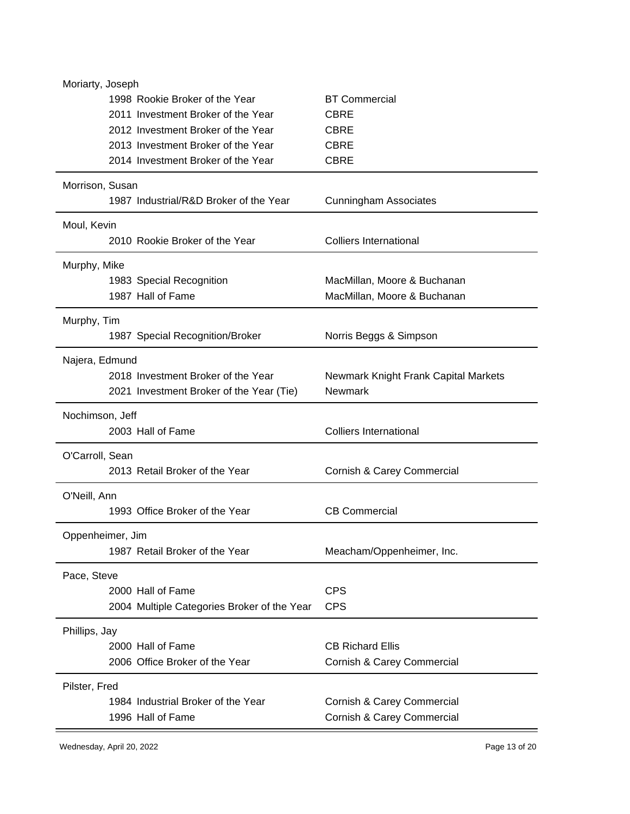| Moriarty, Joseph                                    |                                      |
|-----------------------------------------------------|--------------------------------------|
| 1998 Rookie Broker of the Year                      | <b>BT Commercial</b>                 |
| 2011 Investment Broker of the Year                  | <b>CBRE</b>                          |
| 2012 Investment Broker of the Year                  | <b>CBRE</b>                          |
| 2013 Investment Broker of the Year                  | <b>CBRE</b>                          |
| 2014 Investment Broker of the Year                  | <b>CBRE</b>                          |
| Morrison, Susan                                     |                                      |
| 1987 Industrial/R&D Broker of the Year              | <b>Cunningham Associates</b>         |
| Moul, Kevin                                         |                                      |
| 2010 Rookie Broker of the Year                      | <b>Colliers International</b>        |
| Murphy, Mike                                        |                                      |
| 1983 Special Recognition                            | MacMillan, Moore & Buchanan          |
| 1987 Hall of Fame                                   | MacMillan, Moore & Buchanan          |
| Murphy, Tim                                         |                                      |
| 1987 Special Recognition/Broker                     | Norris Beggs & Simpson               |
| Najera, Edmund                                      |                                      |
| 2018 Investment Broker of the Year                  | Newmark Knight Frank Capital Markets |
| 2021 Investment Broker of the Year (Tie)            | <b>Newmark</b>                       |
| Nochimson, Jeff                                     |                                      |
| 2003 Hall of Fame                                   | <b>Colliers International</b>        |
|                                                     |                                      |
| O'Carroll, Sean                                     |                                      |
| 2013 Retail Broker of the Year                      | Cornish & Carey Commercial           |
| O'Neill, Ann                                        |                                      |
| 1993 Office Broker of the Year                      | <b>CB Commercial</b>                 |
|                                                     |                                      |
| Oppenheimer, Jim<br>1987 Retail Broker of the Year  | Meacham/Oppenheimer, Inc.            |
|                                                     |                                      |
|                                                     |                                      |
| Pace, Steve                                         |                                      |
| 2000 Hall of Fame                                   | <b>CPS</b>                           |
| 2004 Multiple Categories Broker of the Year         | <b>CPS</b>                           |
| Phillips, Jay                                       |                                      |
| 2000 Hall of Fame                                   | <b>CB Richard Ellis</b>              |
| 2006 Office Broker of the Year                      | Cornish & Carey Commercial           |
|                                                     |                                      |
| Pilster, Fred<br>1984 Industrial Broker of the Year | Cornish & Carey Commercial           |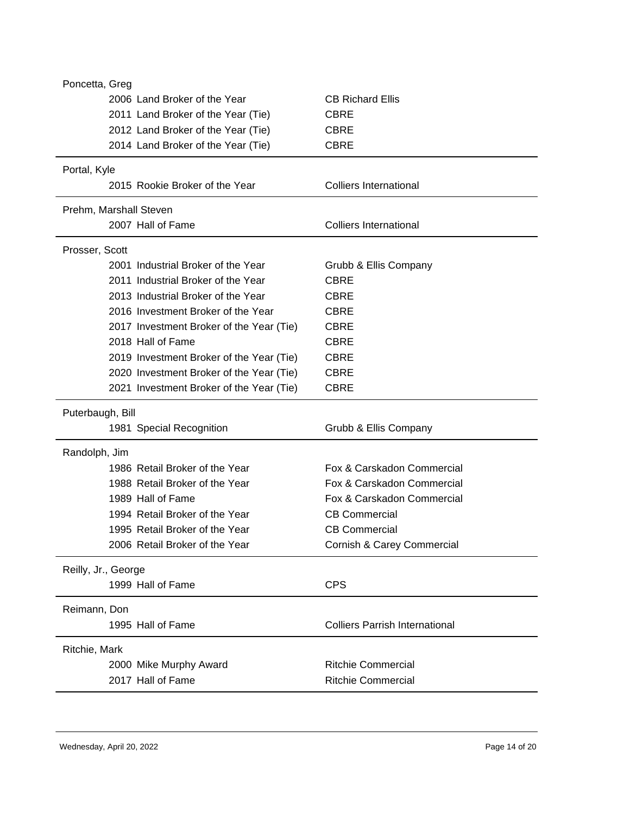| Poncetta, Greg      |                                          |                                       |
|---------------------|------------------------------------------|---------------------------------------|
|                     | 2006 Land Broker of the Year             | <b>CB Richard Ellis</b>               |
|                     | 2011 Land Broker of the Year (Tie)       | <b>CBRE</b>                           |
|                     | 2012 Land Broker of the Year (Tie)       | <b>CBRE</b>                           |
|                     | 2014 Land Broker of the Year (Tie)       | <b>CBRE</b>                           |
| Portal, Kyle        |                                          |                                       |
|                     | 2015 Rookie Broker of the Year           | <b>Colliers International</b>         |
|                     | Prehm, Marshall Steven                   |                                       |
|                     | 2007 Hall of Fame                        | <b>Colliers International</b>         |
| Prosser, Scott      |                                          |                                       |
|                     | 2001 Industrial Broker of the Year       | Grubb & Ellis Company                 |
|                     | 2011 Industrial Broker of the Year       | <b>CBRE</b>                           |
|                     | 2013 Industrial Broker of the Year       | CBRE                                  |
|                     | 2016 Investment Broker of the Year       | <b>CBRE</b>                           |
|                     | 2017 Investment Broker of the Year (Tie) | <b>CBRE</b>                           |
|                     | 2018 Hall of Fame                        | <b>CBRE</b>                           |
|                     | 2019 Investment Broker of the Year (Tie) | <b>CBRE</b>                           |
|                     | 2020 Investment Broker of the Year (Tie) | <b>CBRE</b>                           |
|                     | 2021 Investment Broker of the Year (Tie) | <b>CBRE</b>                           |
| Puterbaugh, Bill    |                                          |                                       |
|                     | 1981 Special Recognition                 | Grubb & Ellis Company                 |
| Randolph, Jim       |                                          |                                       |
|                     | 1986 Retail Broker of the Year           | Fox & Carskadon Commercial            |
|                     | 1988 Retail Broker of the Year           | Fox & Carskadon Commercial            |
|                     | 1989 Hall of Fame                        | Fox & Carskadon Commercial            |
|                     | 1994 Retail Broker of the Year           | <b>CB Commercial</b>                  |
|                     | 1995 Retail Broker of the Year           | <b>CB Commercial</b>                  |
|                     | 2006 Retail Broker of the Year           | Cornish & Carey Commercial            |
| Reilly, Jr., George |                                          |                                       |
|                     | 1999 Hall of Fame                        | <b>CPS</b>                            |
| Reimann, Don        |                                          |                                       |
|                     | 1995 Hall of Fame                        | <b>Colliers Parrish International</b> |
| Ritchie, Mark       |                                          |                                       |
|                     | 2000 Mike Murphy Award                   | <b>Ritchie Commercial</b>             |
|                     | 2017 Hall of Fame                        | <b>Ritchie Commercial</b>             |
|                     |                                          |                                       |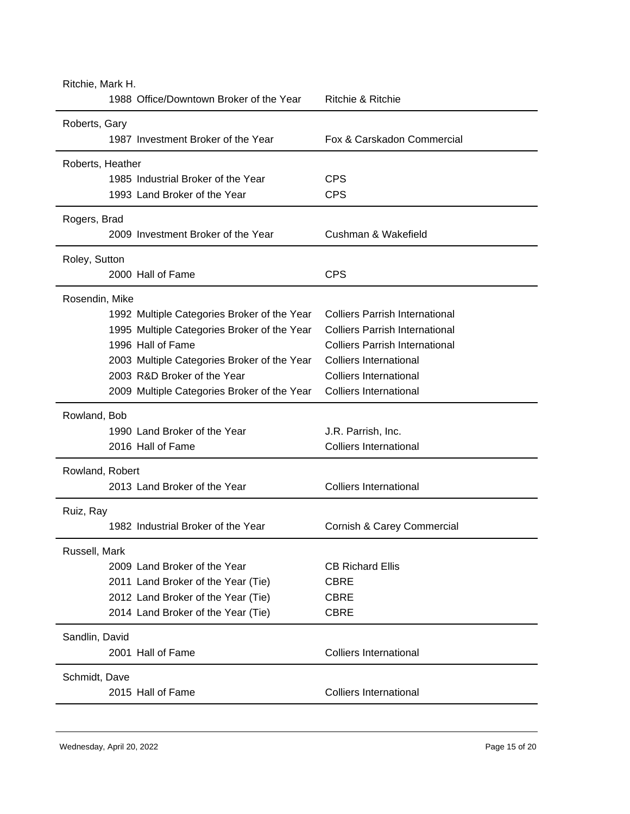| Ritchie, Mark H.                            |                                       |  |
|---------------------------------------------|---------------------------------------|--|
| 1988 Office/Downtown Broker of the Year     | Ritchie & Ritchie                     |  |
| Roberts, Gary                               |                                       |  |
| 1987 Investment Broker of the Year          | Fox & Carskadon Commercial            |  |
| Roberts, Heather                            |                                       |  |
| 1985 Industrial Broker of the Year          | <b>CPS</b>                            |  |
| 1993 Land Broker of the Year                | <b>CPS</b>                            |  |
| Rogers, Brad                                |                                       |  |
| 2009 Investment Broker of the Year          | Cushman & Wakefield                   |  |
| Roley, Sutton                               |                                       |  |
| 2000 Hall of Fame                           | <b>CPS</b>                            |  |
| Rosendin, Mike                              |                                       |  |
| 1992 Multiple Categories Broker of the Year | <b>Colliers Parrish International</b> |  |
| 1995 Multiple Categories Broker of the Year | <b>Colliers Parrish International</b> |  |
| 1996 Hall of Fame                           | <b>Colliers Parrish International</b> |  |
| 2003 Multiple Categories Broker of the Year | <b>Colliers International</b>         |  |
| 2003 R&D Broker of the Year                 | <b>Colliers International</b>         |  |
| 2009 Multiple Categories Broker of the Year | <b>Colliers International</b>         |  |
| Rowland, Bob                                |                                       |  |
| 1990 Land Broker of the Year                | J.R. Parrish, Inc.                    |  |
| 2016 Hall of Fame                           | <b>Colliers International</b>         |  |
| Rowland, Robert                             |                                       |  |
| 2013 Land Broker of the Year                | <b>Colliers International</b>         |  |
| Ruiz, Ray                                   |                                       |  |
| 1982 Industrial Broker of the Year          | Cornish & Carey Commercial            |  |
| Russell, Mark                               |                                       |  |
| 2009 Land Broker of the Year                | <b>CB Richard Ellis</b>               |  |
| 2011 Land Broker of the Year (Tie)          | <b>CBRE</b>                           |  |
| 2012 Land Broker of the Year (Tie)          | <b>CBRE</b>                           |  |
| 2014 Land Broker of the Year (Tie)          | <b>CBRE</b>                           |  |
| Sandlin, David                              |                                       |  |
| 2001 Hall of Fame                           | <b>Colliers International</b>         |  |
| Schmidt, Dave                               |                                       |  |
| 2015 Hall of Fame                           | <b>Colliers International</b>         |  |
|                                             |                                       |  |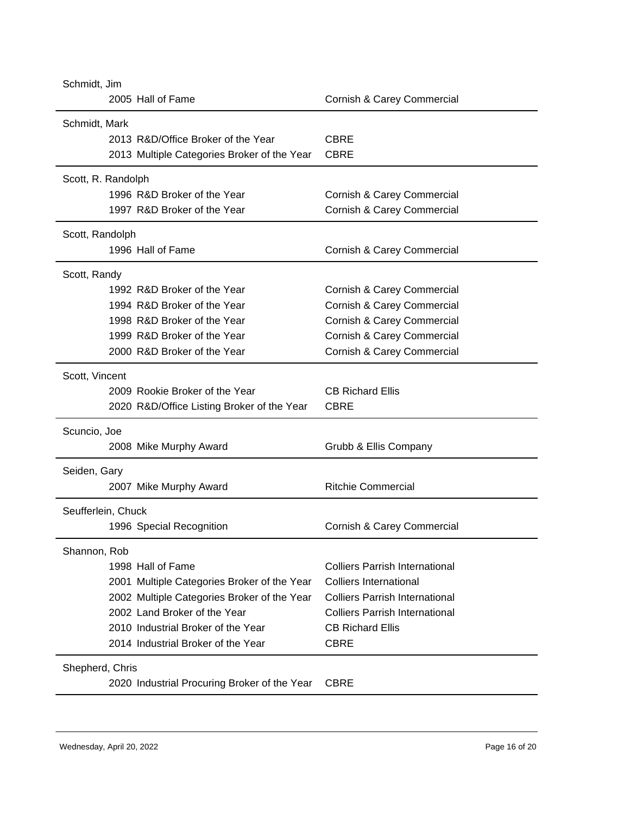| Schmidt, Jim                                 |                                       |  |
|----------------------------------------------|---------------------------------------|--|
| 2005 Hall of Fame                            | Cornish & Carey Commercial            |  |
| Schmidt, Mark                                |                                       |  |
| 2013 R&D/Office Broker of the Year           | <b>CBRE</b>                           |  |
| 2013 Multiple Categories Broker of the Year  | <b>CBRE</b>                           |  |
| Scott, R. Randolph                           |                                       |  |
| 1996 R&D Broker of the Year                  | Cornish & Carey Commercial            |  |
| 1997 R&D Broker of the Year                  | Cornish & Carey Commercial            |  |
| Scott, Randolph                              |                                       |  |
| 1996 Hall of Fame                            | Cornish & Carey Commercial            |  |
| Scott, Randy                                 |                                       |  |
| 1992 R&D Broker of the Year                  | Cornish & Carey Commercial            |  |
| 1994 R&D Broker of the Year                  | Cornish & Carey Commercial            |  |
| 1998 R&D Broker of the Year                  | Cornish & Carey Commercial            |  |
| 1999 R&D Broker of the Year                  | Cornish & Carey Commercial            |  |
| 2000 R&D Broker of the Year                  | Cornish & Carey Commercial            |  |
| Scott, Vincent                               |                                       |  |
| 2009 Rookie Broker of the Year               | <b>CB Richard Ellis</b>               |  |
| 2020 R&D/Office Listing Broker of the Year   | <b>CBRE</b>                           |  |
| Scuncio, Joe                                 |                                       |  |
| 2008 Mike Murphy Award                       | Grubb & Ellis Company                 |  |
| Seiden, Gary                                 |                                       |  |
| 2007 Mike Murphy Award                       | <b>Ritchie Commercial</b>             |  |
| Seufferlein, Chuck                           |                                       |  |
| 1996 Special Recognition                     | Cornish & Carey Commercial            |  |
| Shannon, Rob                                 |                                       |  |
| 1998 Hall of Fame                            | <b>Colliers Parrish International</b> |  |
| 2001 Multiple Categories Broker of the Year  | <b>Colliers International</b>         |  |
| 2002 Multiple Categories Broker of the Year  | <b>Colliers Parrish International</b> |  |
| 2002 Land Broker of the Year                 | <b>Colliers Parrish International</b> |  |
| 2010 Industrial Broker of the Year           | <b>CB Richard Ellis</b>               |  |
| 2014 Industrial Broker of the Year           | <b>CBRE</b>                           |  |
| Shepherd, Chris                              |                                       |  |
| 2020 Industrial Procuring Broker of the Year | <b>CBRE</b>                           |  |
|                                              |                                       |  |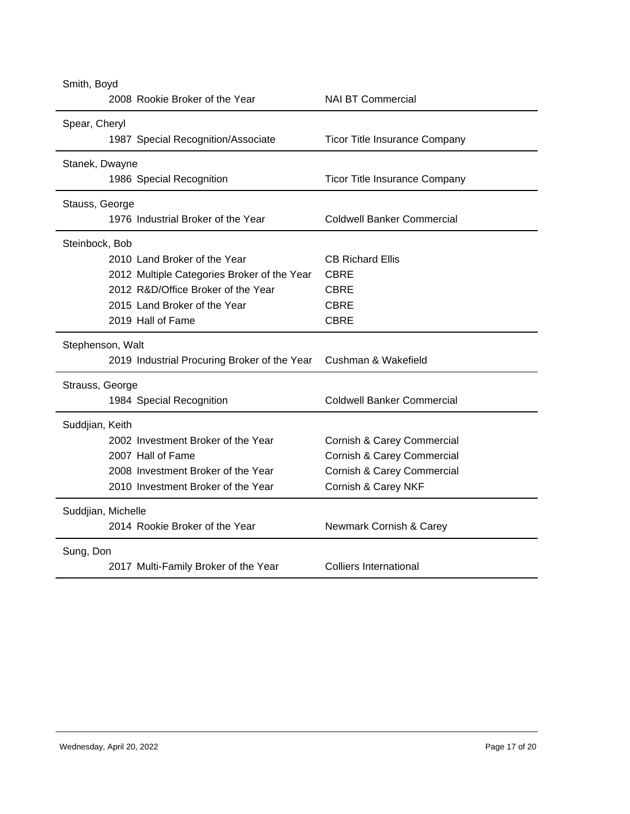| Smith, Boyd                                  |                                      |  |
|----------------------------------------------|--------------------------------------|--|
| 2008 Rookie Broker of the Year               | <b>NAI BT Commercial</b>             |  |
| Spear, Cheryl                                |                                      |  |
| 1987 Special Recognition/Associate           | <b>Ticor Title Insurance Company</b> |  |
| Stanek, Dwayne                               |                                      |  |
| 1986 Special Recognition                     | <b>Ticor Title Insurance Company</b> |  |
| Stauss, George                               |                                      |  |
| 1976 Industrial Broker of the Year           | <b>Coldwell Banker Commercial</b>    |  |
| Steinbock, Bob                               |                                      |  |
| 2010 Land Broker of the Year                 | <b>CB Richard Ellis</b>              |  |
| 2012 Multiple Categories Broker of the Year  | <b>CBRE</b>                          |  |
| 2012 R&D/Office Broker of the Year           | <b>CBRE</b>                          |  |
| 2015 Land Broker of the Year                 | <b>CBRE</b>                          |  |
| 2019 Hall of Fame                            | <b>CBRE</b>                          |  |
| Stephenson, Walt                             |                                      |  |
| 2019 Industrial Procuring Broker of the Year | Cushman & Wakefield                  |  |
| Strauss, George                              |                                      |  |
| 1984 Special Recognition                     | <b>Coldwell Banker Commercial</b>    |  |
| Suddjian, Keith                              |                                      |  |
| 2002 Investment Broker of the Year           | Cornish & Carey Commercial           |  |
| 2007 Hall of Fame                            | Cornish & Carey Commercial           |  |
| 2008 Investment Broker of the Year           | Cornish & Carey Commercial           |  |
| 2010 Investment Broker of the Year           | Cornish & Carey NKF                  |  |
| Suddjian, Michelle                           |                                      |  |
| 2014 Rookie Broker of the Year               | Newmark Cornish & Carey              |  |
| Sung, Don                                    |                                      |  |
| 2017 Multi-Family Broker of the Year         | <b>Colliers International</b>        |  |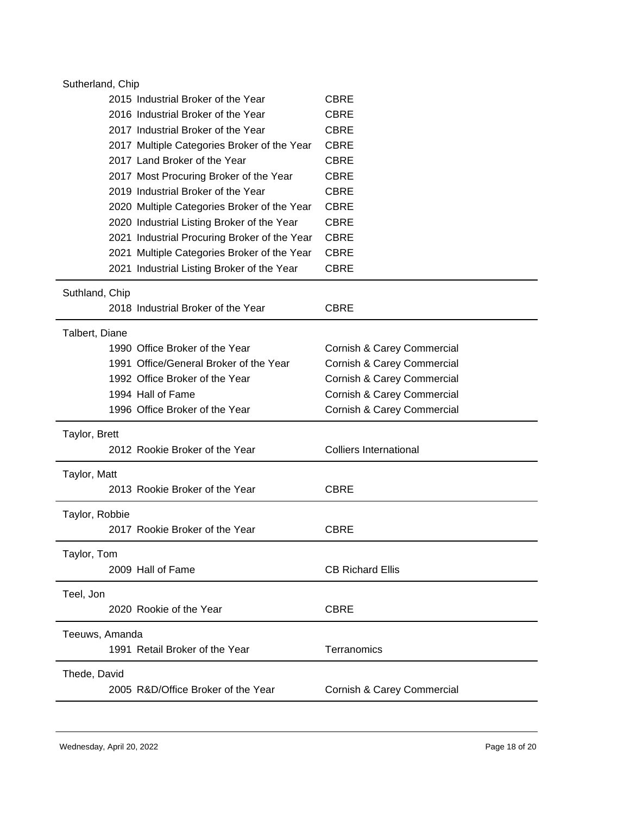| Sutherland, Chip                             |                               |  |
|----------------------------------------------|-------------------------------|--|
| 2015 Industrial Broker of the Year           | <b>CBRE</b>                   |  |
| 2016 Industrial Broker of the Year           | <b>CBRE</b>                   |  |
| 2017 Industrial Broker of the Year           | <b>CBRE</b>                   |  |
| 2017 Multiple Categories Broker of the Year  | <b>CBRE</b>                   |  |
| 2017 Land Broker of the Year                 | <b>CBRE</b>                   |  |
| 2017 Most Procuring Broker of the Year       | <b>CBRE</b>                   |  |
| 2019 Industrial Broker of the Year           | <b>CBRE</b>                   |  |
| 2020 Multiple Categories Broker of the Year  | CBRE                          |  |
| 2020 Industrial Listing Broker of the Year   | <b>CBRE</b>                   |  |
| 2021 Industrial Procuring Broker of the Year | <b>CBRE</b>                   |  |
| 2021 Multiple Categories Broker of the Year  | <b>CBRE</b>                   |  |
| 2021 Industrial Listing Broker of the Year   | <b>CBRE</b>                   |  |
| Suthland, Chip                               |                               |  |
| 2018 Industrial Broker of the Year           | <b>CBRE</b>                   |  |
| Talbert, Diane                               |                               |  |
| 1990 Office Broker of the Year               | Cornish & Carey Commercial    |  |
| 1991 Office/General Broker of the Year       | Cornish & Carey Commercial    |  |
| 1992 Office Broker of the Year               | Cornish & Carey Commercial    |  |
| 1994 Hall of Fame                            | Cornish & Carey Commercial    |  |
| 1996 Office Broker of the Year               | Cornish & Carey Commercial    |  |
| Taylor, Brett                                |                               |  |
| 2012 Rookie Broker of the Year               | <b>Colliers International</b> |  |
| Taylor, Matt                                 |                               |  |
| 2013 Rookie Broker of the Year               | <b>CBRE</b>                   |  |
| Taylor, Robbie                               |                               |  |
| 2017 Rookie Broker of the Year               | <b>CBRE</b>                   |  |
| Taylor, Tom                                  |                               |  |
| 2009 Hall of Fame                            | <b>CB Richard Ellis</b>       |  |
| Teel, Jon                                    |                               |  |
| 2020 Rookie of the Year                      | <b>CBRE</b>                   |  |
| Teeuws, Amanda                               |                               |  |
| 1991 Retail Broker of the Year               | Terranomics                   |  |
| Thede, David                                 |                               |  |
| 2005 R&D/Office Broker of the Year           | Cornish & Carey Commercial    |  |
|                                              |                               |  |